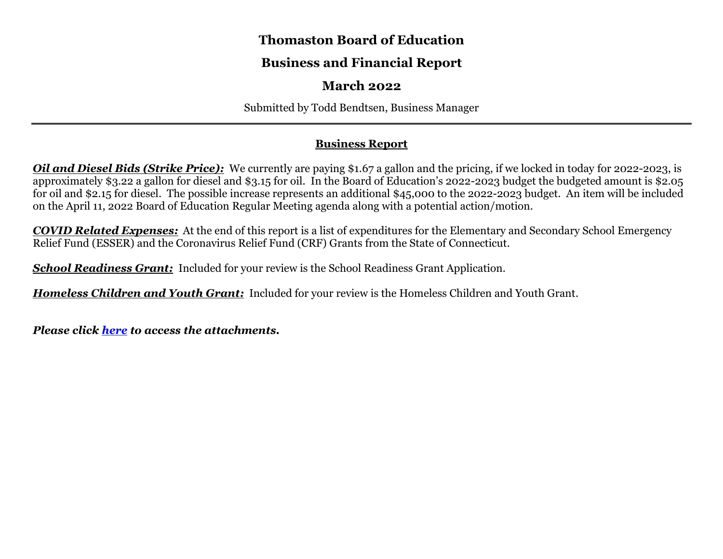## **Thomaston Board of Education**

# **Business and Financial Report**

# **March 2022**

Submitted by Todd Bendtsen, Business Manager

### **Business Report**

*Oil and Diesel Bids (Strike Price):* We currently are paying \$1.67 a gallon and the pricing, if we locked in today for 2022-2023, is approximately \$3.22 a gallon for diesel and \$3.15 for oil. In the Board of Education's 2022-2023 budget the budgeted amount is \$2.05 for oil and \$2.15 for diesel. The possible increase represents an additional \$45,000 to the 2022-2023 budget. An item will be included on the April 11, 2022 Board of Education Regular Meeting agenda along with a potential action/motion.

*COVID Related Expenses:* At the end of this report is a list of expenditures for the Elementary and Secondary School Emergency Relief Fund (ESSER) and the Coronavirus Relief Fund (CRF) Grants from the State of Connecticut.

*School Readiness Grant: Included for your review is the School Readiness Grant Application.* 

*Homeless Children and Youth Grant:* Included for your review is the Homeless Children and Youth Grant.

*Please click [here](https://drive.google.com/file/d/1CvN-JhqUu3EMLVz9pdw2PaEDRuhKuPBG/view?usp=sharing) to access the attachments.*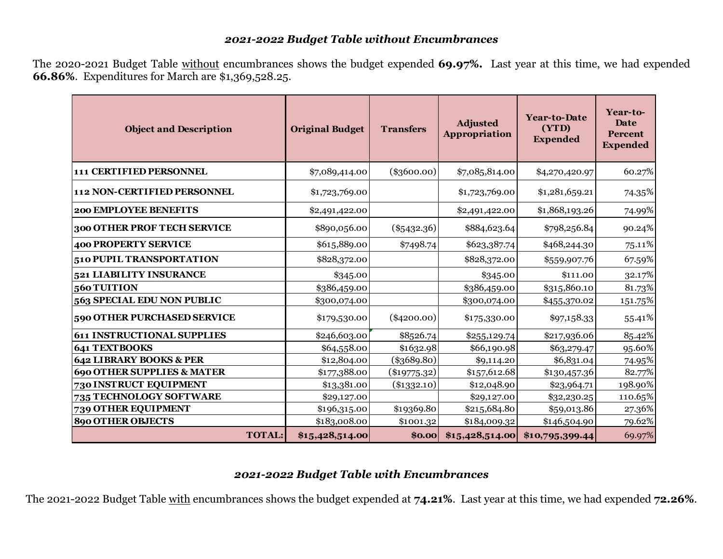### *2021-2022 Budget Table without Encumbrances*

The 2020-2021 Budget Table without encumbrances shows the budget expended **69.97%.** Last year at this time, we had expended **66.86%**. Expenditures for March are \$1,369,528.25.

| <b>Object and Description</b>         | <b>Original Budget</b><br><b>Transfers</b> |                | <b>Adjusted</b><br>Appropriation | <b>Year-to-Date</b><br>(YTD)<br><b>Expended</b> | Year-to-<br>Date<br><b>Percent</b><br><b>Expended</b> |
|---------------------------------------|--------------------------------------------|----------------|----------------------------------|-------------------------------------------------|-------------------------------------------------------|
| 111 CERTIFIED PERSONNEL               | \$7,089,414.00                             | $(\$3600.00)$  | \$7,085,814.00                   | \$4,270,420.97                                  | 60.27%                                                |
| <b>112 NON-CERTIFIED PERSONNEL</b>    | \$1,723,769.00                             |                | \$1,723,769.00                   | \$1,281,659.21                                  | 74.35%                                                |
| <b>200 EMPLOYEE BENEFITS</b>          | \$2,491,422.00                             |                | \$2,491,422.00                   | \$1,868,193.26                                  | 74.99%                                                |
| 300 OTHER PROF TECH SERVICE           | \$890,056.00                               | $(\$5432.36)$  | \$884,623.64                     | \$798,256.84                                    | 90.24%                                                |
| 400 PROPERTY SERVICE                  | \$615,889.00                               | \$7498.74      | \$623,387.74                     | \$468,244.30                                    | 75.11%                                                |
| <b>510 PUPIL TRANSPORTATION</b>       | \$828,372.00                               |                | \$828,372.00                     | \$559,907.76                                    | 67.59%                                                |
| <b>521 LIABILITY INSURANCE</b>        | \$345.00                                   |                | \$345.00                         | \$111.00                                        | 32.17%                                                |
| $560$ TUITION                         | \$386,459.00                               |                | \$386,459.00                     | \$315,860.10                                    | 81.73%                                                |
| 563 SPECIAL EDU NON PUBLIC            | \$300,074.00                               |                | \$300,074.00                     | \$455,370.02                                    | 151.75%                                               |
| 590 OTHER PURCHASED SERVICE           | \$179,530.00                               | $(\$4200.00)$  | \$175,330.00                     | \$97,158.33                                     | 55.41%                                                |
| <b>611 INSTRUCTIONAL SUPPLIES</b>     | \$246,603.00                               | \$8526.74      | \$255,129.74                     | \$217,936.06                                    | 85.42%                                                |
| 641 TEXTBOOKS                         | \$64,558.00                                | \$1632.98      | \$66,190.98                      | \$63,279.47                                     | 95.60%                                                |
| 642 LIBRARY BOOKS & PER               | \$12,804.00                                | $(\$3689.80)$  | \$9,114.20                       | \$6,831.04                                      | 74.95%                                                |
| <b>690 OTHER SUPPLIES &amp; MATER</b> | \$177,388.00                               | $(\$19775.32)$ | \$157,612.68                     | \$130,457.36                                    | 82.77%                                                |
| <b>730 INSTRUCT EQUIPMENT</b>         | \$13,381.00                                | $(\$1332.10)$  | \$12,048.90                      | \$23,964.71                                     | 198.90%                                               |
| 735 TECHNOLOGY SOFTWARE               | \$29,127.00                                |                | \$29,127.00                      | \$32,230.25                                     | 110.65%                                               |
| <b>739 OTHER EQUIPMENT</b>            | \$196,315.00                               | \$19369.80     | \$215,684.80                     | \$59,013.86                                     | 27.36%                                                |
| <b>890 OTHER OBJECTS</b>              | \$183,008.00                               | \$1001.32      | \$184,009.32                     | \$146,504.90                                    | 79.62%                                                |
| <b>TOTAL:</b>                         | \$15,428,514.00                            | \$0.00         | \$15,428,514.00                  | \$10,795,399.44                                 | 69.97%                                                |

### *2021-2022 Budget Table with Encumbrances*

The 2021-2022 Budget Table with encumbrances shows the budget expended at **74.21%**. Last year at this time, we had expended **72.26%**.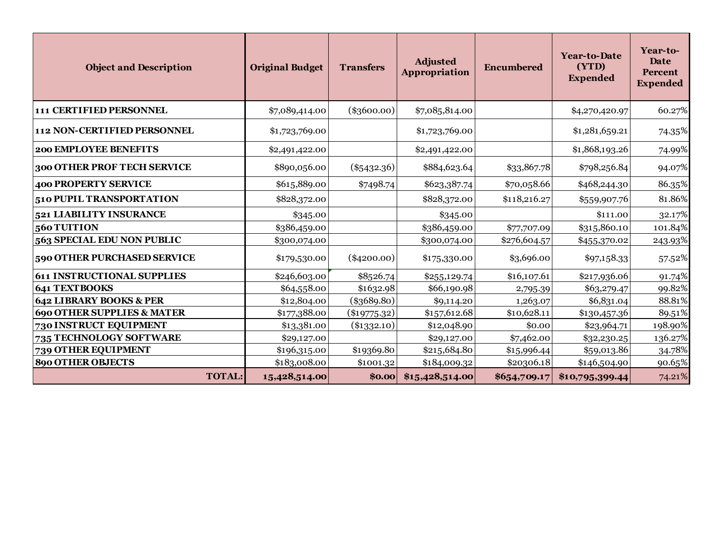| <b>Object and Description</b>         |               | <b>Original Budget</b> | <b>Transfers</b> | <b>Adjusted</b><br>Appropriation | <b>Encumbered</b> | <b>Year-to-Date</b><br>(YTD)<br><b>Expended</b> | Year-to-<br>Date<br>Percent<br><b>Expended</b> |
|---------------------------------------|---------------|------------------------|------------------|----------------------------------|-------------------|-------------------------------------------------|------------------------------------------------|
| 111 CERTIFIED PERSONNEL               |               | \$7,089,414.00         | $(\$3600.00)$    | \$7,085,814.00                   |                   | \$4,270,420.97                                  | 60.27%                                         |
| 112 NON-CERTIFIED PERSONNEL           |               | \$1,723,769.00         |                  | \$1,723,769.00                   |                   | \$1,281,659.21                                  | 74.35%                                         |
| 200 EMPLOYEE BENEFITS                 |               | \$2,491,422.00         |                  | \$2,491,422.00                   |                   | \$1,868,193.26                                  | 74.99%                                         |
| 300 OTHER PROF TECH SERVICE           |               | \$890,056.00           | $(\$5432.36)$    | \$884,623.64                     | \$33,867.78       | \$798,256.84                                    | 94.07%                                         |
| <b>400 PROPERTY SERVICE</b>           |               | \$615,889.00           | \$7498.74        | \$623,387.74                     | \$70,058.66       | \$468,244.30                                    | 86.35%                                         |
| 510 PUPIL TRANSPORTATION              |               | \$828,372.00           |                  | \$828,372.00                     | \$118,216.27      | \$559,907.76                                    | 81.86%                                         |
| 521 LIABILITY INSURANCE               |               | \$345.00               |                  | \$345.00                         |                   | \$111.00                                        | 32.17%                                         |
| 560 TUITION                           |               | \$386,459.00           |                  | \$386,459.00                     | \$77,707.09       | \$315,860.10                                    | 101.84%                                        |
| 563 SPECIAL EDU NON PUBLIC            |               | \$300,074.00           |                  | \$300,074.00                     | \$276,604.57      | \$455,370.02                                    | 243.93%                                        |
| 590 OTHER PURCHASED SERVICE           |               | \$179,530.00           | $(\$4200.00)$    | \$175,330.00                     | \$3,696.00        | \$97,158.33                                     | 57.52%                                         |
| <b>611 INSTRUCTIONAL SUPPLIES</b>     |               | \$246,603.00           | \$8526.74        | \$255,129.74                     | \$16,107.61       | \$217,936.06                                    | 91.74%                                         |
| <b>641 TEXTBOOKS</b>                  |               | \$64,558.00            | \$1632.98        | \$66,190.98                      | 2,795.39          | \$63,279.47                                     | 99.82%                                         |
| 642 LIBRARY BOOKS & PER               |               | \$12,804.00            | $(\$3689.80)$    | \$9,114.20                       | 1,263.07          | \$6,831.04                                      | 88.81%                                         |
| <b>690 OTHER SUPPLIES &amp; MATER</b> |               | \$177,388.00           | $(\$19775.32)$   | \$157,612.68                     | \$10,628.11       | \$130,457.36                                    | 89.51%                                         |
| 730 INSTRUCT EQUIPMENT                |               | \$13,381.00            | $(\$1332.10)$    | \$12,048.90                      | \$0.00            | \$23,964.71                                     | 198.90%                                        |
| 735 TECHNOLOGY SOFTWARE               |               | \$29,127.00            |                  | \$29,127.00                      | \$7,462.00        | \$32,230.25                                     | 136.27%                                        |
| 739 OTHER EQUIPMENT                   |               | \$196,315.00           | \$19369.80       | \$215,684.80                     | \$15,996.44       | \$59,013.86                                     | 34.78%                                         |
| <b>890 OTHER OBJECTS</b>              |               | \$183,008.00           | \$1001.32        | \$184,009.32                     | \$20306.18        | \$146,504.90                                    | 90.65%                                         |
|                                       | <b>TOTAL:</b> | 15,428,514.00          | \$0.00           | \$15,428,514.00                  | \$654,709.17      | \$10,795,399.44                                 | 74.21%                                         |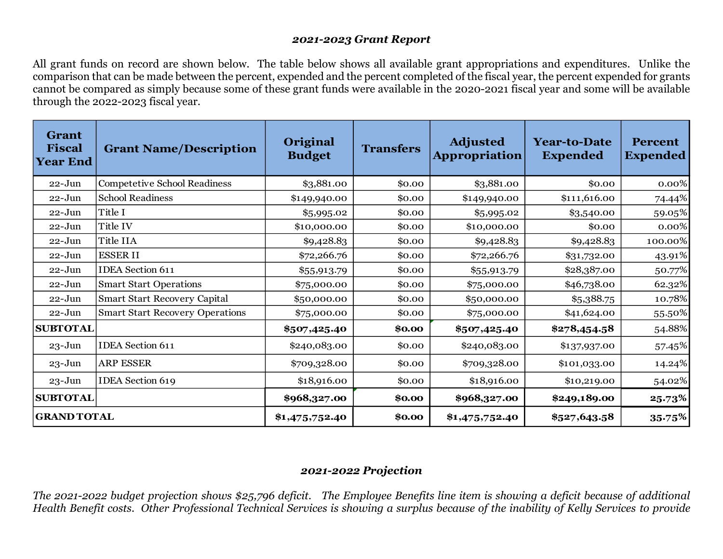#### *2021-2023 Grant Report*

All grant funds on record are shown below. The table below shows all available grant appropriations and expenditures. Unlike the comparison that can be made between the percent, expended and the percent completed of the fiscal year, the percent expended for grants cannot be compared as simply because some of these grant funds were available in the 2020-2021 fiscal year and some will be available through the 2022-2023 fiscal year.

| <b>Grant</b><br><b>Fiscal</b><br><b>Year End</b> | <b>Grant Name/Description</b>          | Original<br><b>Budget</b> | <b>Transfers</b> | <b>Adjusted</b><br><b>Appropriation</b> | <b>Year-to-Date</b><br><b>Expended</b> | <b>Percent</b><br><b>Expended</b> |
|--------------------------------------------------|----------------------------------------|---------------------------|------------------|-----------------------------------------|----------------------------------------|-----------------------------------|
| $22 - Jun$                                       | <b>Competetive School Readiness</b>    | \$3,881.00                | \$0.00           | \$3,881.00                              | \$0.00                                 | 0.00%                             |
| $22 - Jun$                                       | <b>School Readiness</b>                | \$149,940.00              | \$0.00           | \$149,940.00                            | \$111,616.00                           | 74.44%                            |
| $22 - Jun$                                       | Title I                                | \$5,995.02                | \$0.00           | \$5,995.02                              | \$3,540.00                             | 59.05%                            |
| $22 - Jun$                                       | Title IV                               | \$10,000.00               | \$0.00           | \$10,000.00                             | \$0.00                                 | 0.00%                             |
| $22 - Jun$                                       | Title IIA                              | \$9,428.83                | \$0.00           | \$9,428.83                              | \$9,428.83                             | 100.00%                           |
| $22 - Jun$                                       | <b>ESSERII</b>                         | \$72,266.76               | \$0.00           | \$72,266.76                             | \$31,732.00                            | 43.91%                            |
| $22 - Jun$                                       | <b>IDEA</b> Section 611                | \$55,913.79               | \$0.00           | \$55,913.79                             | \$28,387.00                            | 50.77%                            |
| $22 - Jun$                                       | <b>Smart Start Operations</b>          | \$75,000.00               | \$0.00           | \$75,000.00                             | \$46,738.00                            | 62.32%                            |
| $22 - Jun$                                       | <b>Smart Start Recovery Capital</b>    | \$50,000.00               | \$0.00           | \$50,000.00                             | \$5,388.75                             | 10.78%                            |
| $22 - Jun$                                       | <b>Smart Start Recovery Operations</b> | \$75,000.00               | \$0.00           | \$75,000.00                             | \$41,624.00                            | 55.50%                            |
| <b>SUBTOTAL</b>                                  |                                        | \$507,425.40              | \$0.00           | \$507,425.40                            | \$278,454.58                           | 54.88%                            |
| $23 - Jun$                                       | <b>IDEA</b> Section 611                | \$240,083.00              | \$0.00           | \$240,083.00                            | \$137,937.00                           | 57.45%                            |
| $23 - Jun$                                       | <b>ARP ESSER</b>                       | \$709,328.00              | \$0.00           | \$709,328.00                            | \$101,033.00                           | 14.24%                            |
| $23 - Jun$                                       | <b>IDEA</b> Section 619                | \$18,916.00               | \$0.00           | \$18,916.00                             | \$10,219.00                            | 54.02%                            |
| <b>SUBTOTAL</b>                                  |                                        | \$968,327.00              | \$0.00           | \$968,327.00                            | \$249,189.00                           | 25.73%                            |
| <b>GRAND TOTAL</b>                               |                                        | \$1,475,752.40            | \$0.00           | \$1,475,752.40                          | \$527,643.58                           | 35.75%                            |

### *2021-2022 Projection*

*The 2021-2022 budget projection shows \$25,796 deficit. The Employee Benefits line item is showing a deficit because of additional Health Benefit costs. Other Professional Technical Services is showing a surplus because of the inability of Kelly Services to provide*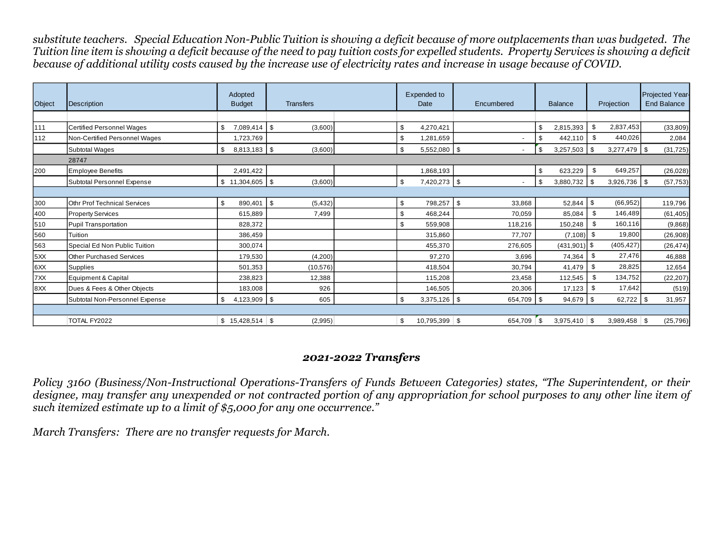*substitute teachers. Special Education Non-Public Tuition is showing a deficit because of more outplacements than was budgeted. The Tuition line item is showing a deficit because of the need to pay tuition costs for expelled students. Property Services is showing a deficit because of additional utility costs caused by the increase use of electricity rates and increase in usage because of COVID.*

| Object | Description                      | Adopted<br><b>Budget</b>     | <b>Transfers</b> |  | Expended to<br>Date |                 | Encumbered |               | <b>Balance</b> |                    | Projection |                | <b>Projected Year-</b><br><b>End Balance</b> |
|--------|----------------------------------|------------------------------|------------------|--|---------------------|-----------------|------------|---------------|----------------|--------------------|------------|----------------|----------------------------------------------|
|        |                                  |                              |                  |  |                     |                 |            |               |                |                    |            |                |                                              |
| 111    | <b>Certified Personnel Wages</b> | 7,089,414<br>-\$             | \$<br>(3,600)    |  | \$                  | 4,270,421       |            |               | \$.            | 2,815,393          |            | 2,837,453      | (33,809)                                     |
| 112    | Non-Certified Personnel Wages    | 1,723,769                    |                  |  | \$                  | 1,281,659       |            |               | £.             | 442.110            | \$         | 440,026        | 2,084                                        |
|        | Subtotal Wages                   | $8,813,183$ \$<br>-\$        | (3,600)          |  | \$                  | $5,552,080$ \$  |            |               | \$             | $3,257,503$ \$     |            | $3,277,479$ \$ | (31, 725)                                    |
|        | 28747                            |                              |                  |  |                     |                 |            |               |                |                    |            |                |                                              |
| 200    | <b>Employee Benefits</b>         | 2,491,422                    |                  |  |                     | 1,868,193       |            |               | \$             | 623,229            | \$         | 649,257        | (26, 028)                                    |
|        | Subtotal Personnel Expense       | $$11,304,605$ \\$            | (3,600)          |  | \$                  | 7,420,273 \$    |            |               | \$             | $3,880,732$ \ \ \$ |            | $3,926,736$ \$ | (57, 753)                                    |
|        |                                  |                              |                  |  |                     |                 |            |               |                |                    |            |                |                                              |
| 300    | Othr Prof Technical Services     | $\mathfrak{S}$<br>890,401 \$ | (5, 432)         |  | \$                  | 798,257         | -\$        | 33,868        |                | 52,844 \$          |            | (66, 952)      | 119,796                                      |
| 400    | <b>Property Services</b>         | 615,889                      | 7,499            |  | \$                  | 468,244         |            | 70,059        |                | 85,084             |            | 146,489        | (61, 405)                                    |
| 510    | <b>Pupil Transportation</b>      | 828,372                      |                  |  | \$                  | 559,908         |            | 118,216       |                | 150,248            |            | 160,116        | (9,868)                                      |
| 560    | Tuition                          | 386,459                      |                  |  |                     | 315,860         |            | 77,707        |                | (7, 108)           | -\$        | 19,800         | (26,908)                                     |
| 563    | Special Ed Non Public Tuition    | 300.074                      |                  |  |                     | 455.370         |            | 276,605       |                | $(431,901)$ \$     |            | (405, 427)     | (26, 474)                                    |
| 5XX    | <b>Other Purchased Services</b>  | 179,530                      | (4,200)          |  |                     | 97,270          |            | 3,696         |                | 74,364             | \$.        | 27,476         | 46,888                                       |
| 6XX    | <b>Supplies</b>                  | 501,353                      | (10,576)         |  |                     | 418,504         |            | 30,794        |                | 41,479             | \$         | 28,825         | 12,654                                       |
| 7XX    | Equipment & Capital              | 238.823                      | 12,388           |  |                     | 115.208         |            | 23.458        |                | 112,545            |            | 134,752        | (22, 207)                                    |
| 8XX    | Dues & Fees & Other Objects      | 183,008                      | 926              |  |                     | 146,505         |            | 20,306        |                | 17,123             |            | 17,642         | (519)                                        |
|        | Subtotal Non-Personnel Expense   | 4,123,909<br>-\$             | \$<br>605        |  | \$                  | $3,375,126$ \$  |            | 654,709       | <b>\$</b>      | $94,679$ \$        |            | 62,722         | 31,957                                       |
|        |                                  |                              |                  |  |                     |                 |            |               |                |                    |            |                |                                              |
|        | TOTAL FY2022                     | $$15,428,514$ \\$            | (2,995)          |  | \$                  | $10,795,399$ \$ |            | $654,709$ \\$ |                | $3,975,410$ \$     |            | $3,989,458$ \$ | (25, 796)                                    |

#### *2021-2022 Transfers*

*Policy 3160 (Business/Non-Instructional Operations-Transfers of Funds Between Categories) states, "The Superintendent, or their designee, may transfer any unexpended or not contracted portion of any appropriation for school purposes to any other line item of such itemized estimate up to a limit of \$5,000 for any one occurrence."* 

*March Transfers: There are no transfer requests for March.*